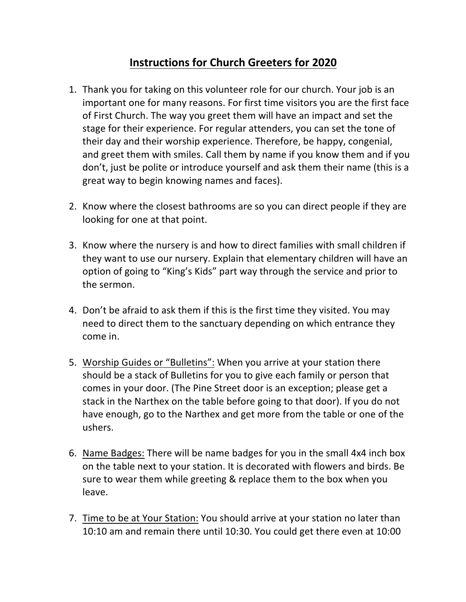## **Instructions for Church Greeters for 2020**

- 1. Thank you for taking on this volunteer role for our church. Your job is an important one for many reasons. For first time visitors you are the first face of First Church. The way you greet them will have an impact and set the stage for their experience. For regular attenders, you can set the tone of their day and their worship experience. Therefore, be happy, congenial, and greet them with smiles. Call them by name if you know them and if you don't, just be polite or introduce yourself and ask them their name (this is a great way to begin knowing names and faces).
- 2. Know where the closest bathrooms are so you can direct people if they are looking for one at that point.
- 3. Know where the nursery is and how to direct families with small children if they want to use our nursery. Explain that elementary children will have an option of going to "King's Kids" part way through the service and prior to the sermon.
- 4. Don't be afraid to ask them if this is the first time they visited. You may need to direct them to the sanctuary depending on which entrance they come in.
- 5. Worship Guides or "Bulletins": When you arrive at your station there should be a stack of Bulletins for you to give each family or person that comes in your door. (The Pine Street door is an exception; please get a stack in the Narthex on the table before going to that door). If you do not have enough, go to the Narthex and get more from the table or one of the ushers.
- 6. Name Badges: There will be name badges for you in the small 4x4 inch box on the table next to your station. It is decorated with flowers and birds. Be sure to wear them while greeting & replace them to the box when you leave.
- 7. Time to be at Your Station: You should arrive at your station no later than 10:10 am and remain there until 10:30. You could get there even at 10:00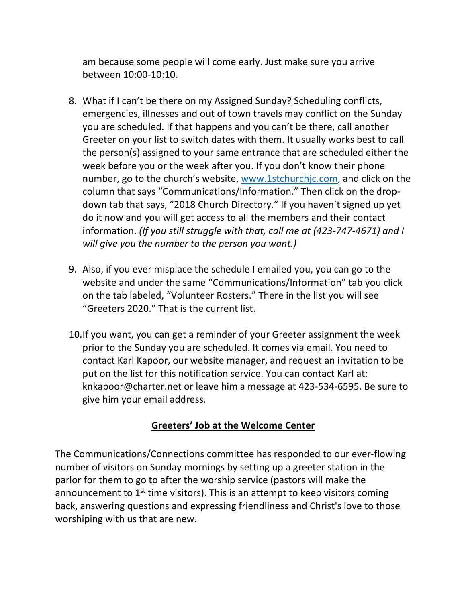am because some people will come early. Just make sure you arrive between 10:00-10:10.

- 8. What if I can't be there on my Assigned Sunday? Scheduling conflicts, emergencies, illnesses and out of town travels may conflict on the Sunday you are scheduled. If that happens and you can't be there, call another Greeter on your list to switch dates with them. It usually works best to call the person(s) assigned to your same entrance that are scheduled either the week before you or the week after you. If you don't know their phone number, go to the church's website, www.1stchurchjc.com, and click on the column that says "Communications/Information." Then click on the dropdown tab that says, "2018 Church Directory." If you haven't signed up yet do it now and you will get access to all the members and their contact information. *(If you still struggle with that, call me at (423-747-4671) and I will give you the number to the person you want.)*
- 9. Also, if you ever misplace the schedule I emailed you, you can go to the website and under the same "Communications/Information" tab you click on the tab labeled, "Volunteer Rosters." There in the list you will see "Greeters 2020." That is the current list.
- 10.If you want, you can get a reminder of your Greeter assignment the week prior to the Sunday you are scheduled. It comes via email. You need to contact Karl Kapoor, our website manager, and request an invitation to be put on the list for this notification service. You can contact Karl at: knkapoor@charter.net or leave him a message at 423-534-6595. Be sure to give him your email address.

## **Greeters' Job at the Welcome Center**

The Communications/Connections committee has responded to our ever-flowing number of visitors on Sunday mornings by setting up a greeter station in the parlor for them to go to after the worship service (pastors will make the announcement to  $1<sup>st</sup>$  time visitors). This is an attempt to keep visitors coming back, answering questions and expressing friendliness and Christ's love to those worshiping with us that are new.